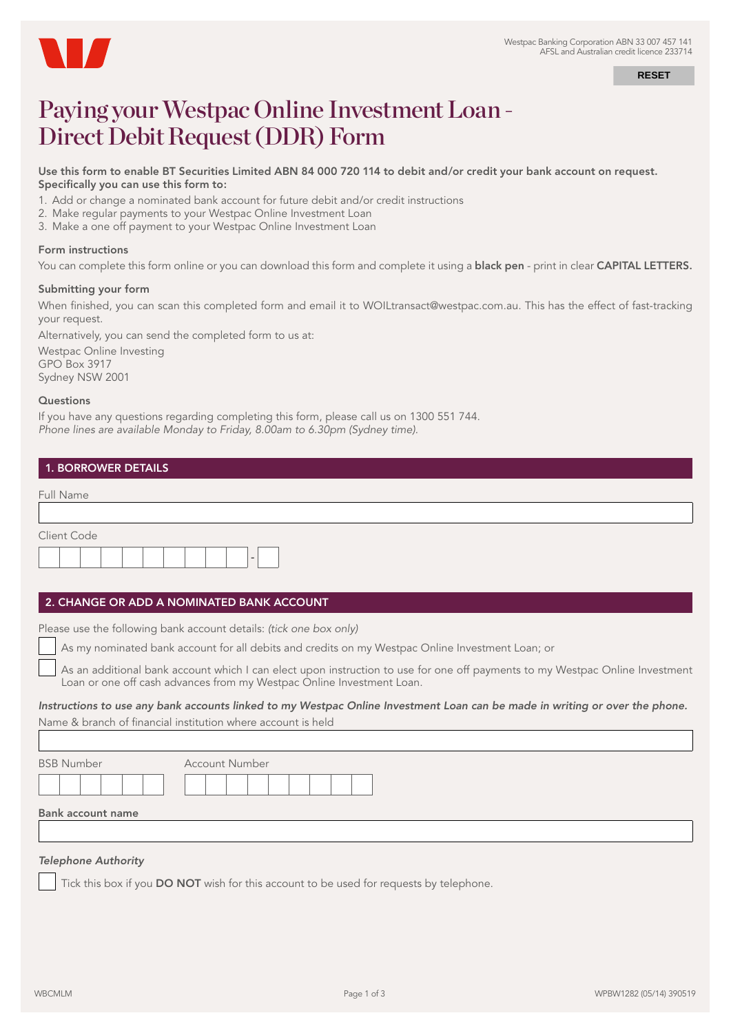

**RESET**

# Paying your Westpac Online Investment Loan - Direct Debit Request (DDR) Form

#### Use this form to enable BT Securities Limited ABN 84 000 720 114 to debit and/or credit your bank account on request. Specifically you can use this form to:

- 1. Add or change a nominated bank account for future debit and/or credit instructions
- 2. Make regular payments to your Westpac Online Investment Loan
- 3. Make a one off payment to your Westpac Online Investment Loan

## Form instructions

You can complete this form online or you can download this form and complete it using a **black pen** - print in clear **CAPITAL LETTERS.** 

## Submitting your form

When finished, you can scan this completed form and email it to WOILtransact@westpac.com.au. This has the effect of fast-tracking your request.

Alternatively, you can send the completed form to us at:

Westpac Online Investing GPO Box 3917 Sydney NSW 2001

#### **Questions**

If you have any questions regarding completing this form, please call us on 1300 551 744. *Phone lines are available Monday to Friday, 8.00am to 6.30pm (Sydney time).*

| <b>1. BORROWER DETAILS</b> |
|----------------------------|
|----------------------------|

| Full Name                |  |
|--------------------------|--|
|                          |  |
| Client Code              |  |
| $\overline{\phantom{a}}$ |  |

## 2. CHANGE OR ADD A NOMINATED BANK ACCOUNT

Please use the following bank account details: *(tick one box only)*

As my nominated bank account for all debits and credits on my Westpac Online Investment Loan; or

 As an additional bank account which I can elect upon instruction to use for one off payments to my Westpac Online Investment Loan or one off cash advances from my Westpac Online Investment Loan.

## *Instructions to use any bank accounts linked to my Westpac Online Investment Loan can be made in writing or over the phone.* Name & branch of financial institution where account is held

| <b>BSB Number</b> | <b>Account Number</b> |
|-------------------|-----------------------|
|                   |                       |
| Bank account name |                       |

# *Telephone Authority*

Tick this box if you DO NOT wish for this account to be used for requests by telephone.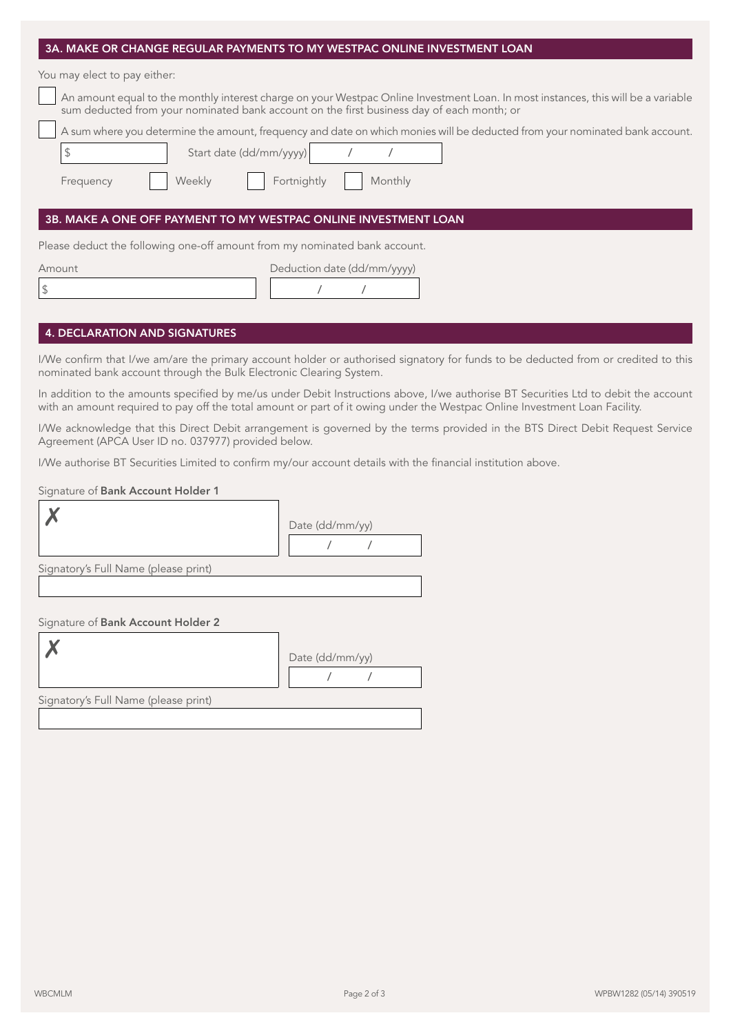| 3A. MAKE OR CHANGE REGULAR PAYMENTS TO MY WESTPAC ONLINE INVESTMENT LOAN                                     |                         |                             |         |                                                                                                                                                                                                                                                                   |
|--------------------------------------------------------------------------------------------------------------|-------------------------|-----------------------------|---------|-------------------------------------------------------------------------------------------------------------------------------------------------------------------------------------------------------------------------------------------------------------------|
| You may elect to pay either:                                                                                 |                         |                             |         |                                                                                                                                                                                                                                                                   |
| sum deducted from your nominated bank account on the first business day of each month; or                    |                         |                             |         | An amount equal to the monthly interest charge on your Westpac Online Investment Loan. In most instances, this will be a variable                                                                                                                                 |
|                                                                                                              |                         |                             |         | A sum where you determine the amount, frequency and date on which monies will be deducted from your nominated bank account.                                                                                                                                       |
| $\updownarrow$                                                                                               | Start date (dd/mm/yyyy) |                             |         |                                                                                                                                                                                                                                                                   |
| Frequency                                                                                                    | Weekly                  | Fortnightly                 | Monthly |                                                                                                                                                                                                                                                                   |
| 3B. MAKE A ONE OFF PAYMENT TO MY WESTPAC ONLINE INVESTMENT LOAN                                              |                         |                             |         |                                                                                                                                                                                                                                                                   |
| Please deduct the following one-off amount from my nominated bank account.                                   |                         |                             |         |                                                                                                                                                                                                                                                                   |
| Amount                                                                                                       |                         | Deduction date (dd/mm/yyyy) |         |                                                                                                                                                                                                                                                                   |
| \$                                                                                                           |                         |                             |         |                                                                                                                                                                                                                                                                   |
|                                                                                                              |                         |                             |         |                                                                                                                                                                                                                                                                   |
| <b>4. DECLARATION AND SIGNATURES</b>                                                                         |                         |                             |         |                                                                                                                                                                                                                                                                   |
| nominated bank account through the Bulk Electronic Clearing System.                                          |                         |                             |         | I/We confirm that I/we am/are the primary account holder or authorised signatory for funds to be deducted from or credited to this                                                                                                                                |
|                                                                                                              |                         |                             |         | In addition to the amounts specified by me/us under Debit Instructions above, I/we authorise BT Securities Ltd to debit the account<br>with an amount required to pay off the total amount or part of it owing under the Westpac Online Investment Loan Facility. |
| Agreement (APCA User ID no. 037977) provided below.                                                          |                         |                             |         | I/We acknowledge that this Direct Debit arrangement is governed by the terms provided in the BTS Direct Debit Request Service                                                                                                                                     |
| I/We authorise BT Securities Limited to confirm my/our account details with the financial institution above. |                         |                             |         |                                                                                                                                                                                                                                                                   |
| Signature of Bank Account Holder 1                                                                           |                         |                             |         |                                                                                                                                                                                                                                                                   |
|                                                                                                              |                         |                             |         |                                                                                                                                                                                                                                                                   |
|                                                                                                              |                         | Date (dd/mm/yy)             |         |                                                                                                                                                                                                                                                                   |
|                                                                                                              |                         |                             |         |                                                                                                                                                                                                                                                                   |
| Signatory's Full Name (please print)                                                                         |                         |                             |         |                                                                                                                                                                                                                                                                   |
| Signature of Bank Account Holder 2                                                                           |                         |                             |         |                                                                                                                                                                                                                                                                   |
|                                                                                                              |                         |                             |         |                                                                                                                                                                                                                                                                   |
|                                                                                                              |                         | Date (dd/mm/yy)             |         |                                                                                                                                                                                                                                                                   |
|                                                                                                              |                         |                             |         |                                                                                                                                                                                                                                                                   |
| Signatory's Full Name (please print)                                                                         |                         |                             |         |                                                                                                                                                                                                                                                                   |
|                                                                                                              |                         |                             |         |                                                                                                                                                                                                                                                                   |
|                                                                                                              |                         |                             |         |                                                                                                                                                                                                                                                                   |